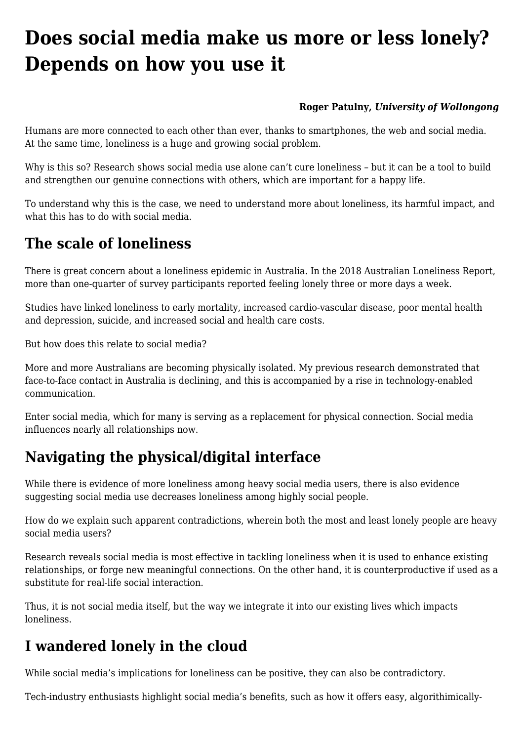# **[Does social media make us more or less lonely?](https://www.melbpc.org.au/does-social-media-make-us-more-or-less-lonely-depends-on-how-you-use-it/) [Depends on how you use it](https://www.melbpc.org.au/does-social-media-make-us-more-or-less-lonely-depends-on-how-you-use-it/)**

#### **[Roger Patulny](https://theconversation.com/profiles/roger-patulny-94836),** *[University of Wollongong](https://theconversation.com/institutions/university-of-wollongong-711)*

Humans are more connected to each other than ever, thanks to smartphones, the web and social media. At the same time, loneliness is a huge and growing social problem.

Why is this so? Research shows social media use alone can't cure loneliness – but it can be a tool to build and strengthen our genuine connections with others, which are important for a happy life.

To understand why this is the case, we need to understand more about loneliness, its harmful impact, and what this has to do with social media.

### **The scale of loneliness**

There is great concern about a loneliness epidemic in Australia. In the 2018 Australian Loneliness Report, more than one-quarter of survey participants reported feeling lonely three or more days a week.

Studies have linked loneliness to early mortality, increased cardio-vascular disease, poor mental health and depression, suicide, and increased social and health care costs.

But how does this relate to social media?

More and more Australians are becoming physically isolated. My previous research demonstrated that face-to-face contact in Australia is declining, and this is accompanied by a rise in technology-enabled communication.

Enter social media, which for many is serving as a replacement for physical connection. Social media influences nearly all relationships now.

# **Navigating the physical/digital interface**

While there is evidence of more loneliness among heavy social media users, there is also evidence suggesting social media use decreases loneliness among highly social people.

How do we explain such apparent contradictions, wherein both the most and least lonely people are heavy social media users?

Research reveals social media is most effective in tackling loneliness when it is used to enhance existing relationships, or forge new meaningful connections. On the other hand, it is counterproductive if used as a substitute for real-life social interaction.

Thus, it is not social media itself, but the way we integrate it into our existing lives which impacts loneliness.

# **I wandered lonely in the cloud**

While social media's implications for loneliness can be positive, they can also be contradictory.

Tech-industry enthusiasts highlight social media's benefits, such as how it offers easy, algorithimically-